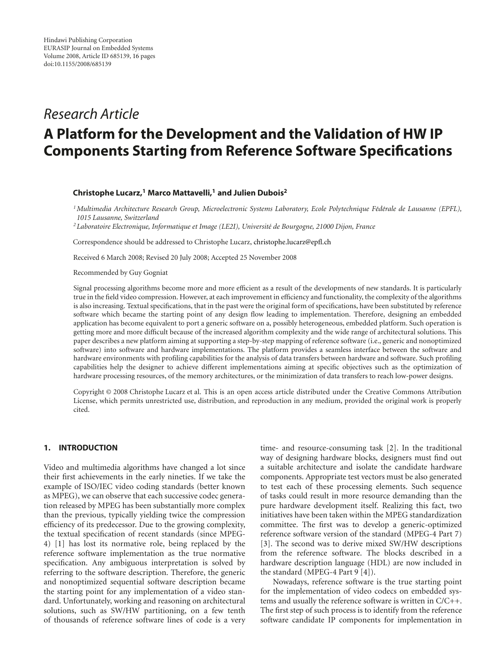# *Research Article*

# **A Platform for the Development and the Validation of HW IP Components Starting from Reference Software Specifications**

#### **Christophe Lucarz,1 Marco Mattavelli,1 and Julien Dubois2**

<sup>1</sup> Multimedia Architecture Research Group, Microelectronic Systems Laboratory, Ecole Polytechnique Fédérale de Lausanne (EPFL), *1015 Lausanne, Switzerland*

<sup>2</sup> Laboratoire Electronique, Informatique et Image (LE2I), Université de Bourgogne, 21000 Dijon, France

Correspondence should be addressed to Christophe Lucarz, christophe.lucarz@epfl.ch

Received 6 March 2008; Revised 20 July 2008; Accepted 25 November 2008

Recommended by Guy Gogniat

Signal processing algorithms become more and more efficient as a result of the developments of new standards. It is particularly true in the field video compression. However, at each improvement in efficiency and functionality, the complexity of the algorithms is also increasing. Textual specifications, that in the past were the original form of specifications, have been substituted by reference software which became the starting point of any design flow leading to implementation. Therefore, designing an embedded application has become equivalent to port a generic software on a, possibly heterogeneous, embedded platform. Such operation is getting more and more difficult because of the increased algorithm complexity and the wide range of architectural solutions. This paper describes a new platform aiming at supporting a step-by-step mapping of reference software (i.e., generic and nonoptimized software) into software and hardware implementations. The platform provides a seamless interface between the software and hardware environments with profiling capabilities for the analysis of data transfers between hardware and software. Such profiling capabilities help the designer to achieve different implementations aiming at specific objectives such as the optimization of hardware processing resources, of the memory architectures, or the minimization of data transfers to reach low-power designs.

Copyright © 2008 Christophe Lucarz et al. This is an open access article distributed under the Creative Commons Attribution License, which permits unrestricted use, distribution, and reproduction in any medium, provided the original work is properly cited.

# **1. INTRODUCTION**

Video and multimedia algorithms have changed a lot since their first achievements in the early nineties. If we take the example of ISO/IEC video coding standards (better known as MPEG), we can observe that each successive codec generation released by MPEG has been substantially more complex than the previous, typically yielding twice the compression efficiency of its predecessor. Due to the growing complexity, the textual specification of recent standards (since MPEG-4) [1] has lost its normative role, being replaced by the reference software implementation as the true normative specification. Any ambiguous interpretation is solved by referring to the software description. Therefore, the generic and nonoptimized sequential software description became the starting point for any implementation of a video standard. Unfortunately, working and reasoning on architectural solutions, such as SW/HW partitioning, on a few tenth of thousands of reference software lines of code is a very time- and resource-consuming task [2]. In the traditional way of designing hardware blocks, designers must find out a suitable architecture and isolate the candidate hardware components. Appropriate test vectors must be also generated to test each of these processing elements. Such sequence of tasks could result in more resource demanding than the pure hardware development itself. Realizing this fact, two initiatives have been taken within the MPEG standardization committee. The first was to develop a generic-optimized reference software version of the standard (MPEG-4 Part 7) [3]. The second was to derive mixed SW/HW descriptions from the reference software. The blocks described in a hardware description language (HDL) are now included in the standard (MPEG-4 Part 9 [4]).

Nowadays, reference software is the true starting point for the implementation of video codecs on embedded systems and usually the reference software is written in C/C++. The first step of such process is to identify from the reference software candidate IP components for implementation in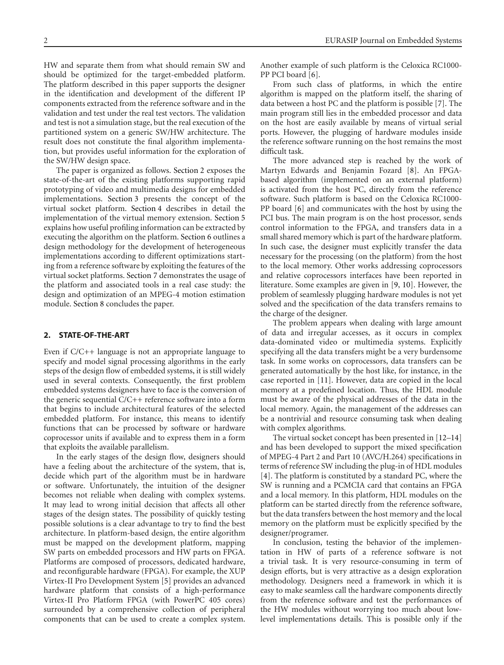HW and separate them from what should remain SW and should be optimized for the target-embedded platform. The platform described in this paper supports the designer in the identification and development of the different IP components extracted from the reference software and in the validation and test under the real test vectors. The validation and test is not a simulation stage, but the real execution of the partitioned system on a generic SW/HW architecture. The result does not constitute the final algorithm implementation, but provides useful information for the exploration of the SW/HW design space.

The paper is organized as follows. Section 2 exposes the state-of-the-art of the existing platforms supporting rapid prototyping of video and multimedia designs for embedded implementations. Section 3 presents the concept of the virtual socket platform. Section 4 describes in detail the implementation of the virtual memory extension. Section 5 explains how useful profiling information can be extracted by executing the algorithm on the platform. Section 6 outlines a design methodology for the development of heterogeneous implementations according to different optimizations starting from a reference software by exploiting the features of the virtual socket platforms. Section 7 demonstrates the usage of the platform and associated tools in a real case study: the design and optimization of an MPEG-4 motion estimation module. Section 8 concludes the paper.

#### **2. STATE-OF-THE-ART**

Even if C/C++ language is not an appropriate language to specify and model signal processing algorithms in the early steps of the design flow of embedded systems, it is still widely used in several contexts. Consequently, the first problem embedded systems designers have to face is the conversion of the generic sequential C/C++ reference software into a form that begins to include architectural features of the selected embedded platform. For instance, this means to identify functions that can be processed by software or hardware coprocessor units if available and to express them in a form that exploits the available parallelism.

In the early stages of the design flow, designers should have a feeling about the architecture of the system, that is, decide which part of the algorithm must be in hardware or software. Unfortunately, the intuition of the designer becomes not reliable when dealing with complex systems. It may lead to wrong initial decision that affects all other stages of the design states. The possibility of quickly testing possible solutions is a clear advantage to try to find the best architecture. In platform-based design, the entire algorithm must be mapped on the development platform, mapping SW parts on embedded processors and HW parts on FPGA. Platforms are composed of processors, dedicated hardware, and reconfigurable hardware (FPGA). For example, the XUP Virtex-II Pro Development System [5] provides an advanced hardware platform that consists of a high-performance Virtex-II Pro Platform FPGA (with PowerPC 405 cores) surrounded by a comprehensive collection of peripheral components that can be used to create a complex system.

Another example of such platform is the Celoxica RC1000- PP PCI board [6].

From such class of platforms, in which the entire algorithm is mapped on the platform itself, the sharing of data between a host PC and the platform is possible [7]. The main program still lies in the embedded processor and data on the host are easily available by means of virtual serial ports. However, the plugging of hardware modules inside the reference software running on the host remains the most difficult task.

The more advanced step is reached by the work of Martyn Edwards and Benjamin Fozard [8]. An FPGAbased algorithm (implemented on an external platform) is activated from the host PC, directly from the reference software. Such platform is based on the Celoxica RC1000- PP board [6] and communicates with the host by using the PCI bus. The main program is on the host processor, sends control information to the FPGA, and transfers data in a small shared memory which is part of the hardware platform. In such case, the designer must explicitly transfer the data necessary for the processing (on the platform) from the host to the local memory. Other works addressing coprocessors and relative coprocessors interfaces have been reported in literature. Some examples are given in [9, 10]. However, the problem of seamlessly plugging hardware modules is not yet solved and the specification of the data transfers remains to the charge of the designer.

The problem appears when dealing with large amount of data and irregular accesses, as it occurs in complex data-dominated video or multimedia systems. Explicitly specifying all the data transfers might be a very burdensome task. In some works on coprocessors, data transfers can be generated automatically by the host like, for instance, in the case reported in [11]. However, data are copied in the local memory at a predefined location. Thus, the HDL module must be aware of the physical addresses of the data in the local memory. Again, the management of the addresses can be a nontrivial and resource consuming task when dealing with complex algorithms.

The virtual socket concept has been presented in [12–14] and has been developed to support the mixed specification of MPEG-4 Part 2 and Part 10 (AVC/H.264) specifications in terms of reference SW including the plug-in of HDL modules [4]. The platform is constituted by a standard PC, where the SW is running and a PCMCIA card that contains an FPGA and a local memory. In this platform, HDL modules on the platform can be started directly from the reference software, but the data transfers between the host memory and the local memory on the platform must be explicitly specified by the designer/programer.

In conclusion, testing the behavior of the implementation in HW of parts of a reference software is not a trivial task. It is very resource-consuming in term of design efforts, but is very attractive as a design exploration methodology. Designers need a framework in which it is easy to make seamless call the hardware components directly from the reference software and test the performances of the HW modules without worrying too much about lowlevel implementations details. This is possible only if the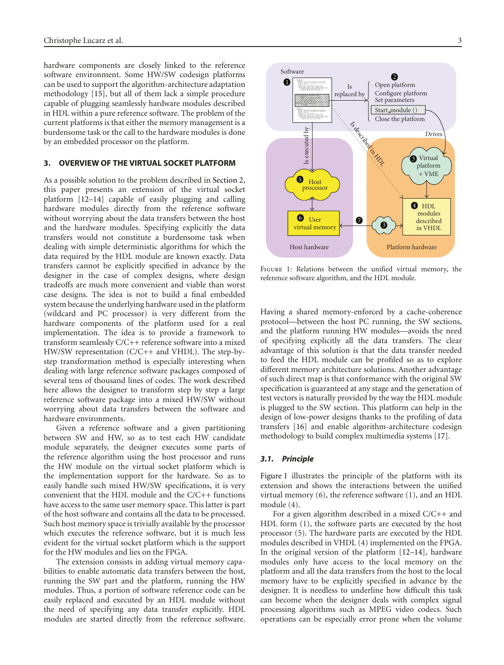hardware components are closely linked to the reference software environment. Some HW/SW codesign platforms can be used to support the algorithm-architecture adaptation methodology [15], but all of them lack a simple procedure capable of plugging seamlessly hardware modules described in HDL within a pure reference software. The problem of the current platforms is that either the memory management is a burdensome task or the call to the hardware modules is done by an embedded processor on the platform.

#### **3. OVERVIEW OF THE VIRTUAL SOCKET PLATFORM**

As a possible solution to the problem described in Section 2, this paper presents an extension of the virtual socket platform [12–14] capable of easily plugging and calling hardware modules directly from the reference software without worrying about the data transfers between the host and the hardware modules. Specifying explicitly the data transfers would not constitute a burdensome task when dealing with simple deterministic algorithms for which the data required by the HDL module are known exactly. Data transfers cannot be explicitly specified in advance by the designer in the case of complex designs, where design tradeoffs are much more convenient and viable than worst case designs. The idea is not to build a final embedded system because the underlying hardware used in the platform (wildcard and PC processor) is very different from the hardware components of the platform used for a real implementation. The idea is to provide a framework to transform seamlessly C/C++ reference software into a mixed HW/SW representation (C/C++ and VHDL). The step-bystep transformation method is especially interesting when dealing with large reference software packages composed of several tens of thousand lines of codes. The work described here allows the designer to transform step by step a large reference software package into a mixed HW/SW without worrying about data transfers between the software and hardware environments.

Given a reference software and a given partitioning between SW and HW, so as to test each HW candidate module separately, the designer executes some parts of the reference algorithm using the host processor and runs the HW module on the virtual socket platform which is the implementation support for the hardware. So as to easily handle such mixed HW/SW specifications, it is very convenient that the HDL module and the C/C++ functions have access to the same user memory space. This latter is part of the host software and contains all the data to be processed. Such host memory space is trivially available by the processor which executes the reference software, but it is much less evident for the virtual socket platform which is the support for the HW modules and lies on the FPGA.

The extension consists in adding virtual memory capabilities to enable automatic data transfers between the host, running the SW part and the platform, running the HW modules. Thus, a portion of software reference code can be easily replaced and executed by an HDL module without the need of specifying any data transfer explicitly. HDL modules are started directly from the reference software.



Figure 1: Relations between the unified virtual memory, the reference software algorithm, and the HDL module.

Having a shared memory-enforced by a cache-coherence protocol—between the host PC running, the SW sections, and the platform running HW modules—avoids the need of specifying explicitly all the data transfers. The clear advantage of this solution is that the data transfer needed to feed the HDL module can be profiled so as to explore different memory architecture solutions. Another advantage of such direct map is that conformance with the original SW specification is guaranteed at any stage and the generation of test vectors is naturally provided by the way the HDL module is plugged to the SW section. This platform can help in the design of low-power designs thanks to the profiling of data transfers [16] and enable algorithm-architecture codesign methodology to build complex multimedia systems [17].

#### *3.1. Principle*

Figure 1 illustrates the principle of the platform with its extension and shows the interactions between the unified virtual memory (6), the reference software (1), and an HDL module (4).

For a given algorithm described in a mixed C/C++ and HDL form (1), the software parts are executed by the host processor (5). The hardware parts are executed by the HDL modules described in VHDL (4) implemented on the FPGA. In the original version of the platform [12–14], hardware modules only have access to the local memory on the platform and all the data transfers from the host to the local memory have to be explicitly specified in advance by the designer. It is needless to underline how difficult this task can become when the designer deals with complex signal processing algorithms such as MPEG video codecs. Such operations can be especially error prone when the volume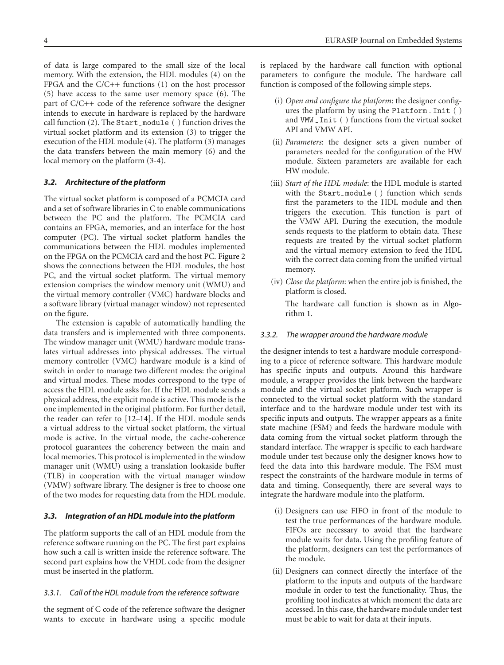of data is large compared to the small size of the local memory. With the extension, the HDL modules (4) on the FPGA and the C/C++ functions (1) on the host processor (5) have access to the same user memory space (6). The part of C/C++ code of the reference software the designer intends to execute in hardware is replaced by the hardware call function  $(2)$ . The Start\_module  $($   $)$  function drives the virtual socket platform and its extension (3) to trigger the execution of the HDL module (4). The platform (3) manages the data transfers between the main memory (6) and the local memory on the platform (3-4).

# *3.2. Architecture of the platform*

The virtual socket platform is composed of a PCMCIA card and a set of software libraries in C to enable communications between the PC and the platform. The PCMCIA card contains an FPGA, memories, and an interface for the host computer (PC). The virtual socket platform handles the communications between the HDL modules implemented on the FPGA on the PCMCIA card and the host PC. Figure 2 shows the connections between the HDL modules, the host PC, and the virtual socket platform. The virtual memory extension comprises the window memory unit (WMU) and the virtual memory controller (VMC) hardware blocks and a software library (virtual manager window) not represented on the figure.

The extension is capable of automatically handling the data transfers and is implemented with three components. The window manager unit (WMU) hardware module translates virtual addresses into physical addresses. The virtual memory controller (VMC) hardware module is a kind of switch in order to manage two different modes: the original and virtual modes. These modes correspond to the type of access the HDL module asks for. If the HDL module sends a physical address, the explicit mode is active. This mode is the one implemented in the original platform. For further detail, the reader can refer to [12–14]. If the HDL module sends a virtual address to the virtual socket platform, the virtual mode is active. In the virtual mode, the cache-coherence protocol guarantees the coherency between the main and local memories. This protocol is implemented in the window manager unit (WMU) using a translation lookaside buffer (TLB) in cooperation with the virtual manager window (VMW) software library. The designer is free to choose one of the two modes for requesting data from the HDL module.

# *3.3. Integration of an HDL module into the platform*

The platform supports the call of an HDL module from the reference software running on the PC. The first part explains how such a call is written inside the reference software. The second part explains how the VHDL code from the designer must be inserted in the platform.

# *3.3.1. Call of the HDL module from the reference software*

the segment of C code of the reference software the designer wants to execute in hardware using a specific module

is replaced by the hardware call function with optional parameters to configure the module. The hardware call function is composed of the following simple steps.

- (i) *Open and configure the platform*: the designer configures the platform by using the Platform  $_$  Init () and VMW \_ Init () functions from the virtual socket API and VMW API.
- (ii) *Parameters*: the designer sets a given number of parameters needed for the configuration of the HW module. Sixteen parameters are available for each HW module.
- (iii) *Start of the HDL module*: the HDL module is started with the Start\_module () function which sends first the parameters to the HDL module and then triggers the execution. This function is part of the VMW API. During the execution, the module sends requests to the platform to obtain data. These requests are treated by the virtual socket platform and the virtual memory extension to feed the HDL with the correct data coming from the unified virtual memory.
- (iv) *Close the platform*: when the entire job is finished, the platform is closed.

The hardware call function is shown as in Algorithm 1.

# *3.3.2. The wrapper around the hardware module*

the designer intends to test a hardware module corresponding to a piece of reference software. This hardware module has specific inputs and outputs. Around this hardware module, a wrapper provides the link between the hardware module and the virtual socket platform. Such wrapper is connected to the virtual socket platform with the standard interface and to the hardware module under test with its specific inputs and outputs. The wrapper appears as a finite state machine (FSM) and feeds the hardware module with data coming from the virtual socket platform through the standard interface. The wrapper is specific to each hardware module under test because only the designer knows how to feed the data into this hardware module. The FSM must respect the constraints of the hardware module in terms of data and timing. Consequently, there are several ways to integrate the hardware module into the platform.

- (i) Designers can use FIFO in front of the module to test the true performances of the hardware module. FIFOs are necessary to avoid that the hardware module waits for data. Using the profiling feature of the platform, designers can test the performances of the module.
- (ii) Designers can connect directly the interface of the platform to the inputs and outputs of the hardware module in order to test the functionality. Thus, the profiling tool indicates at which moment the data are accessed. In this case, the hardware module under test must be able to wait for data at their inputs.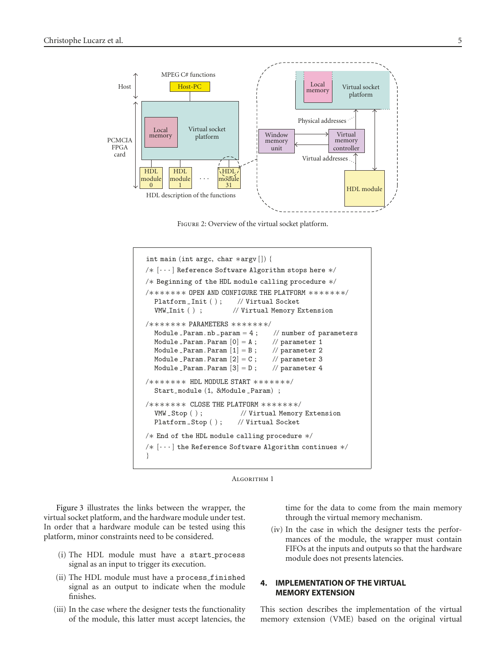

Figure 2: Overview of the virtual socket platform.

```
int main (int argc, char ∗argv []) {
/∗ [··· ] Reference Software Algorithm stops here ∗/
/∗ Beginning of the HDL module calling procedure ∗/
/∗∗∗∗∗∗∗ OPEN AND CONFIGURE THE PLATFORM ∗∗∗∗∗∗∗/
  Platform _ Init ();
  VMW Init () ; // Virtual Memory Extension
/∗∗∗∗∗∗∗ PARAMETERS ∗∗∗∗∗∗∗/
  Module Param \ldots nb \lceil param = 4; // number of parameters Module Param \lceil 0 \rceil = 4; // parameter 1
  Module Param \text{Param} [0] = A; // parameter 1<br>Module Param \text{Param} [1] = B; // parameter 2
  Module Param \text{Param} [1] = B; // parameter 2<br>Module Param \text{Param} [2] = C; // parameter 3
  Module Param \text{Param} [2] = C; // parameter 3<br>Module Param \text{Param} [3] = D; // parameter 4
  Module Param. Param [3] = D;
/∗∗∗∗∗∗∗ HDL MODULE START ∗∗∗∗∗∗∗/
  Start_module (1, &Module Param) ;
/∗∗∗∗∗∗∗ CLOSE THE PLATFORM ∗∗∗∗∗∗∗/
                                // Virtual Memory Extension
  Platform _ Stop (); // Virtual Socket
/∗ End of the HDL module calling procedure ∗/
/∗ [··· ] the Reference Software Algorithm continues ∗/
}
```


Figure 3 illustrates the links between the wrapper, the virtual socket platform, and the hardware module under test. In order that a hardware module can be tested using this platform, minor constraints need to be considered.

- (i) The HDL module must have a start process signal as an input to trigger its execution.
- (ii) The HDL module must have a process finished signal as an output to indicate when the module finishes.
- (iii) In the case where the designer tests the functionality of the module, this latter must accept latencies, the

time for the data to come from the main memory through the virtual memory mechanism.

(iv) In the case in which the designer tests the performances of the module, the wrapper must contain FIFOs at the inputs and outputs so that the hardware module does not presents latencies.

# **4. IMPLEMENTATION OF THE VIRTUAL MEMORY EXTENSION**

This section describes the implementation of the virtual memory extension (VME) based on the original virtual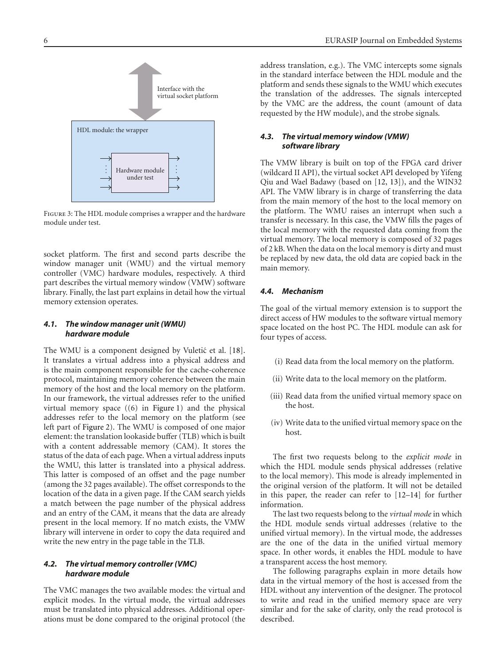

FIGURE 3: The HDL module comprises a wrapper and the hardware module under test.

socket platform. The first and second parts describe the window manager unit (WMU) and the virtual memory controller (VMC) hardware modules, respectively. A third part describes the virtual memory window (VMW) software library. Finally, the last part explains in detail how the virtual memory extension operates.

# *4.1. The window manager unit (WMU) hardware module*

The WMU is a component designed by Vuletić et al. [18]. It translates a virtual address into a physical address and is the main component responsible for the cache-coherence protocol, maintaining memory coherence between the main memory of the host and the local memory on the platform. In our framework, the virtual addresses refer to the unified virtual memory space  $((6)$  in Figure 1) and the physical addresses refer to the local memory on the platform (see left part of Figure 2). The WMU is composed of one major element: the translation lookaside buffer (TLB) which is built with a content addressable memory (CAM). It stores the status of the data of each page. When a virtual address inputs the WMU, this latter is translated into a physical address. This latter is composed of an offset and the page number (among the 32 pages available). The offset corresponds to the location of the data in a given page. If the CAM search yields a match between the page number of the physical address and an entry of the CAM, it means that the data are already present in the local memory. If no match exists, the VMW library will intervene in order to copy the data required and write the new entry in the page table in the TLB.

# *4.2. The virtual memory controller (VMC) hardware module*

The VMC manages the two available modes: the virtual and explicit modes. In the virtual mode, the virtual addresses must be translated into physical addresses. Additional operations must be done compared to the original protocol (the

address translation, e.g.). The VMC intercepts some signals in the standard interface between the HDL module and the platform and sends these signals to the WMU which executes the translation of the addresses. The signals intercepted by the VMC are the address, the count (amount of data requested by the HW module), and the strobe signals.

# *4.3. The virtual memory window (VMW) software library*

The VMW library is built on top of the FPGA card driver (wildcard II API), the virtual socket API developed by Yifeng Qiu and Wael Badawy (based on [12, 13]), and the WIN32 API. The VMW library is in charge of transferring the data from the main memory of the host to the local memory on the platform. The WMU raises an interrupt when such a transfer is necessary. In this case, the VMW fills the pages of the local memory with the requested data coming from the virtual memory. The local memory is composed of 32 pages of 2 kB. When the data on the local memory is dirty and must be replaced by new data, the old data are copied back in the main memory.

# *4.4. Mechanism*

The goal of the virtual memory extension is to support the direct access of HW modules to the software virtual memory space located on the host PC. The HDL module can ask for four types of access.

- (i) Read data from the local memory on the platform.
- (ii) Write data to the local memory on the platform.
- (iii) Read data from the unified virtual memory space on the host.
- (iv) Write data to the unified virtual memory space on the host.

The first two requests belong to the *explicit mode* in which the HDL module sends physical addresses (relative to the local memory). This mode is already implemented in the original version of the platform. It will not be detailed in this paper, the reader can refer to [12–14] for further information.

The last two requests belong to the *virtual mode* in which the HDL module sends virtual addresses (relative to the unified virtual memory). In the virtual mode, the addresses are the one of the data in the unified virtual memory space. In other words, it enables the HDL module to have a transparent access the host memory.

The following paragraphs explain in more details how data in the virtual memory of the host is accessed from the HDL without any intervention of the designer. The protocol to write and read in the unified memory space are very similar and for the sake of clarity, only the read protocol is described.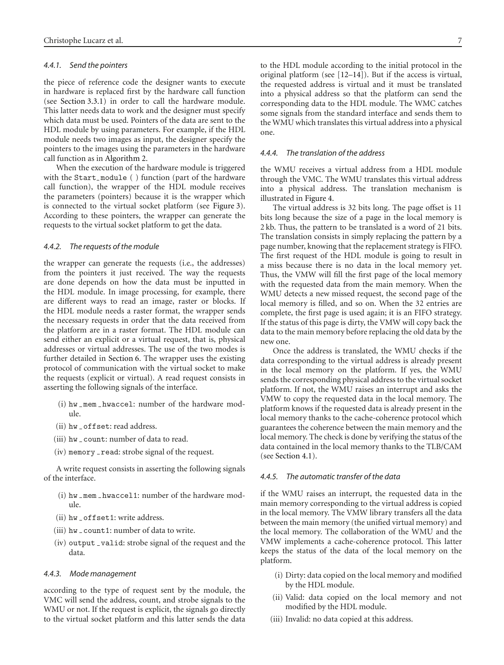#### *4.4.1. Send the pointers*

the piece of reference code the designer wants to execute in hardware is replaced first by the hardware call function (see Section 3.3.1) in order to call the hardware module. This latter needs data to work and the designer must specify which data must be used. Pointers of the data are sent to the HDL module by using parameters. For example, if the HDL module needs two images as input, the designer specify the pointers to the images using the parameters in the hardware call function as in Algorithm 2.

When the execution of the hardware module is triggered with the Start\_module () function (part of the hardware call function), the wrapper of the HDL module receives the parameters (pointers) because it is the wrapper which is connected to the virtual socket platform (see Figure 3). According to these pointers, the wrapper can generate the requests to the virtual socket platform to get the data.

#### *4.4.2. The requests of the module*

the wrapper can generate the requests (i.e., the addresses) from the pointers it just received. The way the requests are done depends on how the data must be inputted in the HDL module. In image processing, for example, there are different ways to read an image, raster or blocks. If the HDL module needs a raster format, the wrapper sends the necessary requests in order that the data received from the platform are in a raster format. The HDL module can send either an explicit or a virtual request, that is, physical addresses or virtual addresses. The use of the two modes is further detailed in Section 6. The wrapper uses the existing protocol of communication with the virtual socket to make the requests (explicit or virtual). A read request consists in asserting the following signals of the interface.

- (i) hw\_mem\_hwaccel: number of the hardware module.
- (ii) hw\_offset: read address.
- (iii) hw count: number of data to read.
- $(iv)$  memory  $\_$  read: strobe signal of the request.

A write request consists in asserting the following signals of the interface.

- (i)  $hw_{\text{mem}}$  hwaccel1: number of the hardware module.
- (ii) hw\_offset1: write address.
- (iii) hw count1: number of data to write.
- $(iv)$  output  $\textcolor{red}{\perp}$  valid: strobe signal of the request and the data.

#### *4.4.3. Mode management*

according to the type of request sent by the module, the VMC will send the address, count, and strobe signals to the WMU or not. If the request is explicit, the signals go directly to the virtual socket platform and this latter sends the data to the HDL module according to the initial protocol in the original platform (see [12–14]). But if the access is virtual, the requested address is virtual and it must be translated into a physical address so that the platform can send the corresponding data to the HDL module. The WMC catches some signals from the standard interface and sends them to the WMU which translates this virtual address into a physical one.

#### *4.4.4. The translation of the address*

the WMU receives a virtual address from a HDL module through the VMC. The WMU translates this virtual address into a physical address. The translation mechanism is illustrated in Figure 4.

The virtual address is 32 bits long. The page offset is 11 bits long because the size of a page in the local memory is 2 kb. Thus, the pattern to be translated is a word of 21 bits. The translation consists in simply replacing the pattern by a page number, knowing that the replacement strategy is FIFO. The first request of the HDL module is going to result in a miss because there is no data in the local memory yet. Thus, the VMW will fill the first page of the local memory with the requested data from the main memory. When the WMU detects a new missed request, the second page of the local memory is filled, and so on. When the 32 entries are complete, the first page is used again; it is an FIFO strategy. If the status of this page is dirty, the VMW will copy back the data to the main memory before replacing the old data by the new one.

Once the address is translated, the WMU checks if the data corresponding to the virtual address is already present in the local memory on the platform. If yes, the WMU sends the corresponding physical address to the virtual socket platform. If not, the WMU raises an interrupt and asks the VMW to copy the requested data in the local memory. The platform knows if the requested data is already present in the local memory thanks to the cache-coherence protocol which guarantees the coherence between the main memory and the local memory. The check is done by verifying the status of the data contained in the local memory thanks to the TLB/CAM (see Section 4.1).

#### *4.4.5. The automatic transfer of the data*

if the WMU raises an interrupt, the requested data in the main memory corresponding to the virtual address is copied in the local memory. The VMW library transfers all the data between the main memory (the unified virtual memory) and the local memory. The collaboration of the WMU and the VMW implements a cache-coherence protocol. This latter keeps the status of the data of the local memory on the platform.

- (i) Dirty: data copied on the local memory and modified by the HDL module.
- (ii) Valid: data copied on the local memory and not modified by the HDL module.
- (iii) Invalid: no data copied at this address.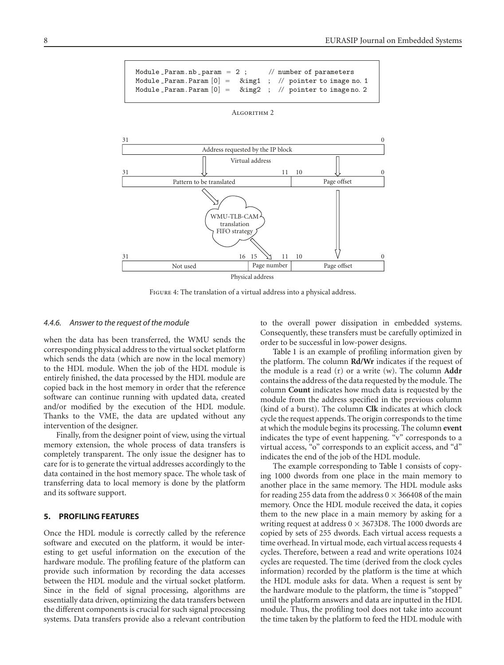```
Module Param . nb param = 2 ; // number of parameters
Module Param . Param [0] = &img1 ; // pointer to image no. 1
Module Param . Param [0] = &img2 ; // pointer to image no. 2
```
ALGORITHM 2



Figure 4: The translation of a virtual address into a physical address.

#### *4.4.6. Answer to the request of the module*

when the data has been transferred, the WMU sends the corresponding physical address to the virtual socket platform which sends the data (which are now in the local memory) to the HDL module. When the job of the HDL module is entirely finished, the data processed by the HDL module are copied back in the host memory in order that the reference software can continue running with updated data, created and/or modified by the execution of the HDL module. Thanks to the VME, the data are updated without any intervention of the designer.

Finally, from the designer point of view, using the virtual memory extension, the whole process of data transfers is completely transparent. The only issue the designer has to care for is to generate the virtual addresses accordingly to the data contained in the host memory space. The whole task of transferring data to local memory is done by the platform and its software support.

#### **5. PROFILING FEATURES**

Once the HDL module is correctly called by the reference software and executed on the platform, it would be interesting to get useful information on the execution of the hardware module. The profiling feature of the platform can provide such information by recording the data accesses between the HDL module and the virtual socket platform. Since in the field of signal processing, algorithms are essentially data driven, optimizing the data transfers between the different components is crucial for such signal processing systems. Data transfers provide also a relevant contribution

to the overall power dissipation in embedded systems. Consequently, these transfers must be carefully optimized in order to be successful in low-power designs.

Table 1 is an example of profiling information given by the platform. The column **Rd/Wr** indicates if the request of the module is a read (r) or a write (w). The column **Addr** contains the address of the data requested by the module. The column **Count** indicates how much data is requested by the module from the address specified in the previous column (kind of a burst). The column **Clk** indicates at which clock cycle the request appends. The origin corresponds to the time at which the module begins its processing. The column **event** indicates the type of event happening. "v" corresponds to a virtual access, "o" corresponds to an explicit access, and "d" indicates the end of the job of the HDL module.

The example corresponding to Table 1 consists of copying 1000 dwords from one place in the main memory to another place in the same memory. The HDL module asks for reading 255 data from the address  $0 \times 366408$  of the main memory. Once the HDL module received the data, it copies them to the new place in a main memory by asking for a writing request at address  $0 \times 3673D8$ . The 1000 dwords are copied by sets of 255 dwords. Each virtual access requests a time overhead. In virtual mode, each virtual access requests 4 cycles. Therefore, between a read and write operations 1024 cycles are requested. The time (derived from the clock cycles information) recorded by the platform is the time at which the HDL module asks for data. When a request is sent by the hardware module to the platform, the time is "stopped" until the platform answers and data are inputted in the HDL module. Thus, the profiling tool does not take into account the time taken by the platform to feed the HDL module with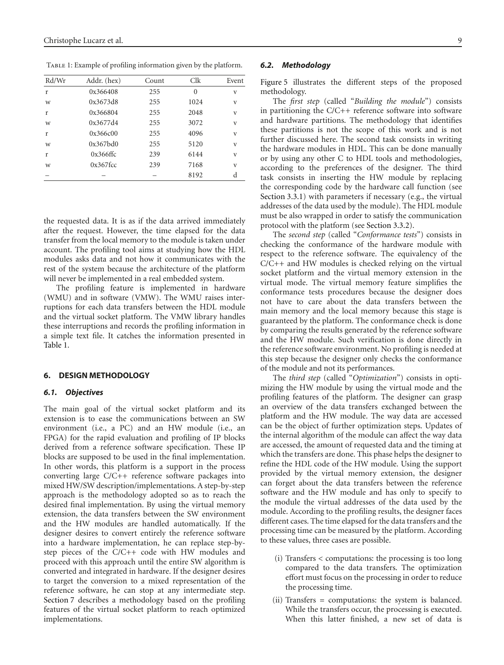| Rd/Wr | Addr. (hex) | Count | Clk      | Event                   |
|-------|-------------|-------|----------|-------------------------|
| r     | 0x366408    | 255   | $\theta$ | V                       |
| W     | 0x3673d8    | 255   | 1024     | v                       |
| r     | 0x366804    | 255   | 2048     | v                       |
| W     | 0x3677d4    | 255   | 3072     | V                       |
| r     | 0x366c00    | 255   | 4096     | v                       |
| W     | 0x367hd0    | 255   | 5120     | V                       |
| r     | 0x366ffc    | 239   | 6144     | V                       |
| W     | $0x367$ fcc | 239   | 7168     | $\overline{\mathbf{V}}$ |
|       |             |       | 8192     | d                       |

TABLE 1: Example of profiling information given by the platform.

the requested data. It is as if the data arrived immediately after the request. However, the time elapsed for the data transfer from the local memory to the module is taken under account. The profiling tool aims at studying how the HDL modules asks data and not how it communicates with the rest of the system because the architecture of the platform will never be implemented in a real embedded system.

The profiling feature is implemented in hardware (WMU) and in software (VMW). The WMU raises interruptions for each data transfers between the HDL module and the virtual socket platform. The VMW library handles these interruptions and records the profiling information in a simple text file. It catches the information presented in Table 1.

#### **6. DESIGN METHODOLOGY**

#### *6.1. Objectives*

The main goal of the virtual socket platform and its extension is to ease the communications between an SW environment (i.e., a PC) and an HW module (i.e., an FPGA) for the rapid evaluation and profiling of IP blocks derived from a reference software specification. These IP blocks are supposed to be used in the final implementation. In other words, this platform is a support in the process converting large C/C++ reference software packages into mixed HW/SW description/implementations. A step-by-step approach is the methodology adopted so as to reach the desired final implementation. By using the virtual memory extension, the data transfers between the SW environment and the HW modules are handled automatically. If the designer desires to convert entirely the reference software into a hardware implementation, he can replace step-bystep pieces of the C/C++ code with HW modules and proceed with this approach until the entire SW algorithm is converted and integrated in hardware. If the designer desires to target the conversion to a mixed representation of the reference software, he can stop at any intermediate step. Section 7 describes a methodology based on the profiling features of the virtual socket platform to reach optimized implementations.

#### *6.2. Methodology*

Figure 5 illustrates the different steps of the proposed methodology.

The *first step* (called "*Building the module*") consists in partitioning the C/C++ reference software into software and hardware partitions. The methodology that identifies these partitions is not the scope of this work and is not further discussed here. The second task consists in writing the hardware modules in HDL. This can be done manually or by using any other C to HDL tools and methodologies, according to the preferences of the designer. The third task consists in inserting the HW module by replacing the corresponding code by the hardware call function (see Section 3.3.1) with parameters if necessary (e.g., the virtual addresses of the data used by the module). The HDL module must be also wrapped in order to satisfy the communication protocol with the platform (see Section 3.3.2).

The *second step* (called "*Conformance tests*") consists in checking the conformance of the hardware module with respect to the reference software. The equivalency of the  $C/C++$  and HW modules is checked relying on the virtual socket platform and the virtual memory extension in the virtual mode. The virtual memory feature simplifies the conformance tests procedures because the designer does not have to care about the data transfers between the main memory and the local memory because this stage is guaranteed by the platform. The conformance check is done by comparing the results generated by the reference software and the HW module. Such verification is done directly in the reference software environment. No profiling is needed at this step because the designer only checks the conformance of the module and not its performances.

The *third step* (called "*Optimization*") consists in optimizing the HW module by using the virtual mode and the profiling features of the platform. The designer can grasp an overview of the data transfers exchanged between the platform and the HW module. The way data are accessed can be the object of further optimization steps. Updates of the internal algorithm of the module can affect the way data are accessed, the amount of requested data and the timing at which the transfers are done. This phase helps the designer to refine the HDL code of the HW module. Using the support provided by the virtual memory extension, the designer can forget about the data transfers between the reference software and the HW module and has only to specify to the module the virtual addresses of the data used by the module. According to the profiling results, the designer faces different cases. The time elapsed for the data transfers and the processing time can be measured by the platform. According to these values, three cases are possible.

- (i) Transfers *<* computations: the processing is too long compared to the data transfers. The optimization effort must focus on the processing in order to reduce the processing time.
- (ii) Transfers = computations: the system is balanced. While the transfers occur, the processing is executed. When this latter finished, a new set of data is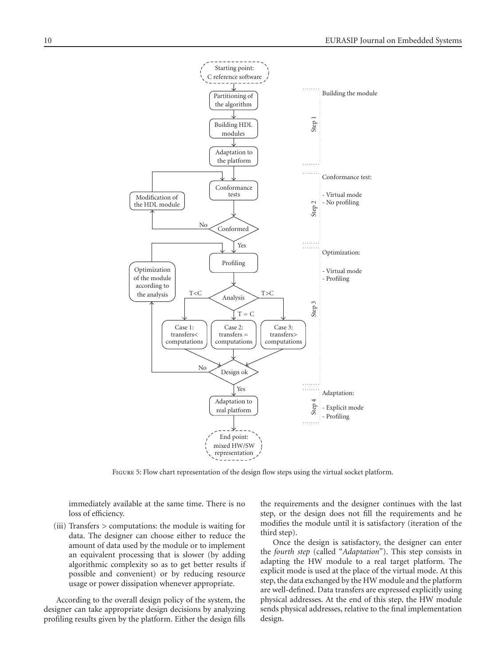

Figure 5: Flow chart representation of the design flow steps using the virtual socket platform.

immediately available at the same time. There is no loss of efficiency.

(iii) Transfers *>* computations: the module is waiting for data. The designer can choose either to reduce the amount of data used by the module or to implement an equivalent processing that is slower (by adding algorithmic complexity so as to get better results if possible and convenient) or by reducing resource usage or power dissipation whenever appropriate.

According to the overall design policy of the system, the designer can take appropriate design decisions by analyzing profiling results given by the platform. Either the design fills

the requirements and the designer continues with the last step, or the design does not fill the requirements and he modifies the module until it is satisfactory (iteration of the third step).

Once the design is satisfactory, the designer can enter the *fourth step* (called "*Adaptation*"). This step consists in adapting the HW module to a real target platform. The explicit mode is used at the place of the virtual mode. At this step, the data exchanged by the HW module and the platform are well-defined. Data transfers are expressed explicitly using physical addresses. At the end of this step, the HW module sends physical addresses, relative to the final implementation design.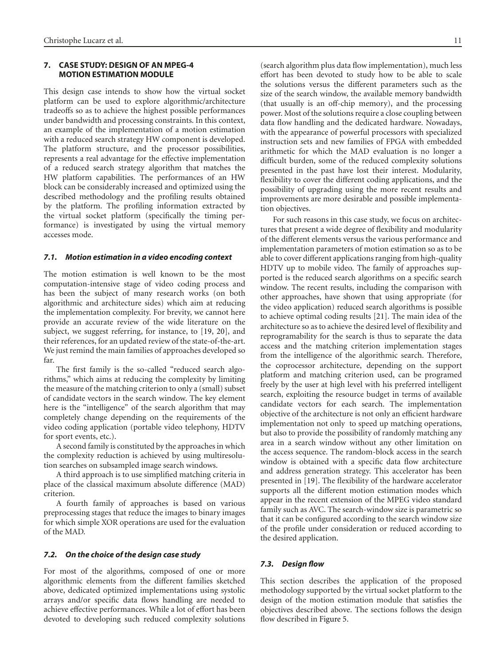# **7. CASE STUDY: DESIGN OF AN MPEG-4 MOTION ESTIMATION MODULE**

This design case intends to show how the virtual socket platform can be used to explore algorithmic/architecture tradeoffs so as to achieve the highest possible performances under bandwidth and processing constraints. In this context, an example of the implementation of a motion estimation with a reduced search strategy HW component is developed. The platform structure, and the processor possibilities, represents a real advantage for the effective implementation of a reduced search strategy algorithm that matches the HW platform capabilities. The performances of an HW block can be considerably increased and optimized using the described methodology and the profiling results obtained by the platform. The profiling information extracted by the virtual socket platform (specifically the timing performance) is investigated by using the virtual memory accesses mode.

#### *7.1. Motion estimation in a video encoding context*

The motion estimation is well known to be the most computation-intensive stage of video coding process and has been the subject of many research works (on both algorithmic and architecture sides) which aim at reducing the implementation complexity. For brevity, we cannot here provide an accurate review of the wide literature on the subject, we suggest referring, for instance, to [19, 20], and their references, for an updated review of the state-of-the-art. We just remind the main families of approaches developed so far.

The first family is the so-called "reduced search algorithms," which aims at reducing the complexity by limiting the measure of the matching criterion to only a (small) subset of candidate vectors in the search window. The key element here is the "intelligence" of the search algorithm that may completely change depending on the requirements of the video coding application (portable video telephony, HDTV for sport events, etc.).

A second family is constituted by the approaches in which the complexity reduction is achieved by using multiresolution searches on subsampled image search windows.

A third approach is to use simplified matching criteria in place of the classical maximum absolute difference (MAD) criterion.

A fourth family of approaches is based on various preprocessing stages that reduce the images to binary images for which simple XOR operations are used for the evaluation of the MAD.

#### *7.2. On the choice of the design case study*

For most of the algorithms, composed of one or more algorithmic elements from the different families sketched above, dedicated optimized implementations using systolic arrays and/or specific data flows handling are needed to achieve effective performances. While a lot of effort has been devoted to developing such reduced complexity solutions (search algorithm plus data flow implementation), much less effort has been devoted to study how to be able to scale the solutions versus the different parameters such as the size of the search window, the available memory bandwidth (that usually is an off-chip memory), and the processing power. Most of the solutions require a close coupling between data flow handling and the dedicated hardware. Nowadays, with the appearance of powerful processors with specialized instruction sets and new families of FPGA with embedded arithmetic for which the MAD evaluation is no longer a difficult burden, some of the reduced complexity solutions presented in the past have lost their interest. Modularity, flexibility to cover the different coding applications, and the possibility of upgrading using the more recent results and improvements are more desirable and possible implementation objectives.

For such reasons in this case study, we focus on architectures that present a wide degree of flexibility and modularity of the different elements versus the various performance and implementation parameters of motion estimation so as to be able to cover different applications ranging from high-quality HDTV up to mobile video. The family of approaches supported is the reduced search algorithms on a specific search window. The recent results, including the comparison with other approaches, have shown that using appropriate (for the video application) reduced search algorithms is possible to achieve optimal coding results [21]. The main idea of the architecture so as to achieve the desired level of flexibility and reprogramability for the search is thus to separate the data access and the matching criterion implementation stages from the intelligence of the algorithmic search. Therefore, the coprocessor architecture, depending on the support platform and matching criterion used, can be programed freely by the user at high level with his preferred intelligent search, exploiting the resource budget in terms of available candidate vectors for each search. The implementation objective of the architecture is not only an efficient hardware implementation not only to speed up matching operations, but also to provide the possibility of randomly matching any area in a search window without any other limitation on the access sequence. The random-block access in the search window is obtained with a specific data flow architecture and address generation strategy. This accelerator has been presented in [19]. The flexibility of the hardware accelerator supports all the different motion estimation modes which appear in the recent extension of the MPEG video standard family such as AVC. The search-window size is parametric so that it can be configured according to the search window size of the profile under consideration or reduced according to the desired application.

#### *7.3. Design flow*

This section describes the application of the proposed methodology supported by the virtual socket platform to the design of the motion estimation module that satisfies the objectives described above. The sections follows the design flow described in Figure 5.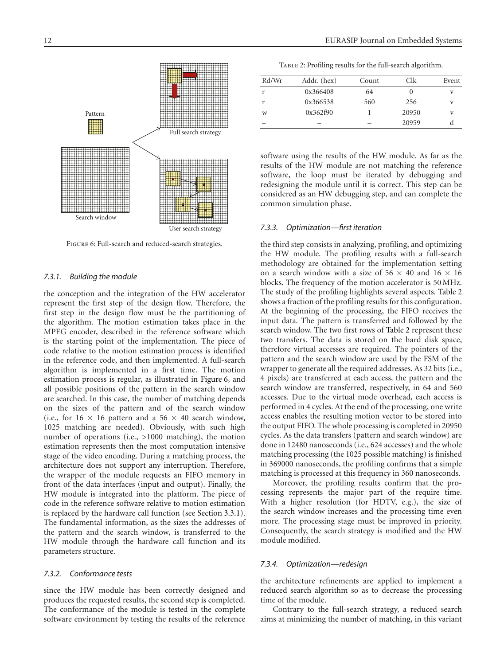

Figure 6: Full-search and reduced-search strategies.

#### *7.3.1. Building the module*

the conception and the integration of the HW accelerator represent the first step of the design flow. Therefore, the first step in the design flow must be the partitioning of the algorithm. The motion estimation takes place in the MPEG encoder, described in the reference software which is the starting point of the implementation. The piece of code relative to the motion estimation process is identified in the reference code, and then implemented. A full-search algorithm is implemented in a first time. The motion estimation process is regular, as illustrated in Figure 6, and all possible positions of the pattern in the search window are searched. In this case, the number of matching depends on the sizes of the pattern and of the search window (i.e., for  $16 \times 16$  pattern and a  $56 \times 40$  search window, 1025 matching are needed). Obviously, with such high number of operations (i.e., *>*1000 matching), the motion estimation represents then the most computation intensive stage of the video encoding. During a matching process, the architecture does not support any interruption. Therefore, the wrapper of the module requests an FIFO memory in front of the data interfaces (input and output). Finally, the HW module is integrated into the platform. The piece of code in the reference software relative to motion estimation is replaced by the hardware call function (see Section 3.3.1). The fundamental information, as the sizes the addresses of the pattern and the search window, is transferred to the HW module through the hardware call function and its parameters structure.

#### *7.3.2. Conformance tests*

since the HW module has been correctly designed and produces the requested results, the second step is completed. The conformance of the module is tested in the complete software environment by testing the results of the reference

TABLE 2: Profiling results for the full-search algorithm.

| Rd/Wr | Addr. (hex) | Count | Clk   | Event |
|-------|-------------|-------|-------|-------|
|       | 0x366408    | 64    |       |       |
| r     | 0x366538    | 560   | 256   | v     |
| W     | 0x362f90    |       | 20950 | v     |
|       |             |       | 20959 |       |
|       |             |       |       |       |

software using the results of the HW module. As far as the results of the HW module are not matching the reference software, the loop must be iterated by debugging and redesigning the module until it is correct. This step can be considered as an HW debugging step, and can complete the common simulation phase.

#### *7.3.3. Optimization—first iteration*

the third step consists in analyzing, profiling, and optimizing the HW module. The profiling results with a full-search methodology are obtained for the implementation setting on a search window with a size of 56  $\times$  40 and 16  $\times$  16 blocks. The frequency of the motion accelerator is 50 MHz. The study of the profiling highlights several aspects. Table 2 shows a fraction of the profiling results for this configuration. At the beginning of the processing, the FIFO receives the input data. The pattern is transferred and followed by the search window. The two first rows of Table 2 represent these two transfers. The data is stored on the hard disk space, therefore virtual accesses are required. The pointers of the pattern and the search window are used by the FSM of the wrapper to generate all the required addresses. As 32 bits (i.e., 4 pixels) are transferred at each access, the pattern and the search window are transferred, respectively, in 64 and 560 accesses. Due to the virtual mode overhead, each access is performed in 4 cycles. At the end of the processing, one write access enables the resulting motion vector to be stored into the output FIFO. The whole processing is completed in 20950 cycles. As the data transfers (pattern and search window) are done in 12480 nanoseconds (i.e., 624 accesses) and the whole matching processing (the 1025 possible matching) is finished in 369000 nanoseconds, the profiling confirms that a simple matching is processed at this frequency in 360 nanoseconds.

Moreover, the profiling results confirm that the processing represents the major part of the require time. With a higher resolution (for HDTV, e.g.), the size of the search window increases and the processing time even more. The processing stage must be improved in priority. Consequently, the search strategy is modified and the HW module modified.

#### *7.3.4. Optimization—redesign*

the architecture refinements are applied to implement a reduced search algorithm so as to decrease the processing time of the module.

Contrary to the full-search strategy, a reduced search aims at minimizing the number of matching, in this variant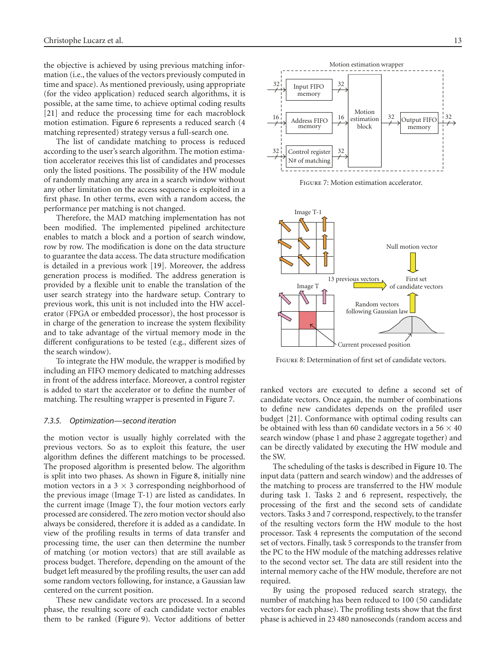the objective is achieved by using previous matching information (i.e., the values of the vectors previously computed in time and space). As mentioned previously, using appropriate (for the video application) reduced search algorithms, it is possible, at the same time, to achieve optimal coding results [21] and reduce the processing time for each macroblock motion estimation. Figure 6 represents a reduced search (4 matching represented) strategy versus a full-search one.

The list of candidate matching to process is reduced according to the user's search algorithm. The motion estimation accelerator receives this list of candidates and processes only the listed positions. The possibility of the HW module of randomly matching any area in a search window without any other limitation on the access sequence is exploited in a first phase. In other terms, even with a random access, the performance per matching is not changed.

Therefore, the MAD matching implementation has not been modified. The implemented pipelined architecture enables to match a block and a portion of search window, row by row. The modification is done on the data structure to guarantee the data access. The data structure modification is detailed in a previous work [19]. Moreover, the address generation process is modified. The address generation is provided by a flexible unit to enable the translation of the user search strategy into the hardware setup. Contrary to previous work, this unit is not included into the HW accelerator (FPGA or embedded processor), the host processor is in charge of the generation to increase the system flexibility and to take advantage of the virtual memory mode in the different configurations to be tested (e.g., different sizes of the search window).

To integrate the HW module, the wrapper is modified by including an FIFO memory dedicated to matching addresses in front of the address interface. Moreover, a control register is added to start the accelerator or to define the number of matching. The resulting wrapper is presented in Figure 7.

#### *7.3.5. Optimization—second iteration*

the motion vector is usually highly correlated with the previous vectors. So as to exploit this feature, the user algorithm defines the different matchings to be processed. The proposed algorithm is presented below. The algorithm is split into two phases. As shown in Figure 8, initially nine motion vectors in a  $3 \times 3$  corresponding neighborhood of the previous image (Image T-1) are listed as candidates. In the current image (Image T), the four motion vectors early processed are considered. The zero motion vector should also always be considered, therefore it is added as a candidate. In view of the profiling results in terms of data transfer and processing time, the user can then determine the number of matching (or motion vectors) that are still available as process budget. Therefore, depending on the amount of the budget left measured by the profiling results, the user can add some random vectors following, for instance, a Gaussian law centered on the current position.

These new candidate vectors are processed. In a second phase, the resulting score of each candidate vector enables them to be ranked (Figure 9). Vector additions of better



Figure 7: Motion estimation accelerator.



Figure 8: Determination of first set of candidate vectors.

ranked vectors are executed to define a second set of candidate vectors. Once again, the number of combinations to define new candidates depends on the profiled user budget [21]. Conformance with optimal coding results can be obtained with less than 60 candidate vectors in a  $56 \times 40$ search window (phase 1 and phase 2 aggregate together) and can be directly validated by executing the HW module and the SW.

The scheduling of the tasks is described in Figure 10. The input data (pattern and search window) and the addresses of the matching to process are transferred to the HW module during task 1. Tasks 2 and 6 represent, respectively, the processing of the first and the second sets of candidate vectors. Tasks 3 and 7 correspond, respectively, to the transfer of the resulting vectors form the HW module to the host processor. Task 4 represents the computation of the second set of vectors. Finally, task 5 corresponds to the transfer from the PC to the HW module of the matching addresses relative to the second vector set. The data are still resident into the internal memory cache of the HW module, therefore are not required.

By using the proposed reduced search strategy, the number of matching has been reduced to 100 (50 candidate vectors for each phase). The profiling tests show that the first phase is achieved in 23 480 nanoseconds (random access and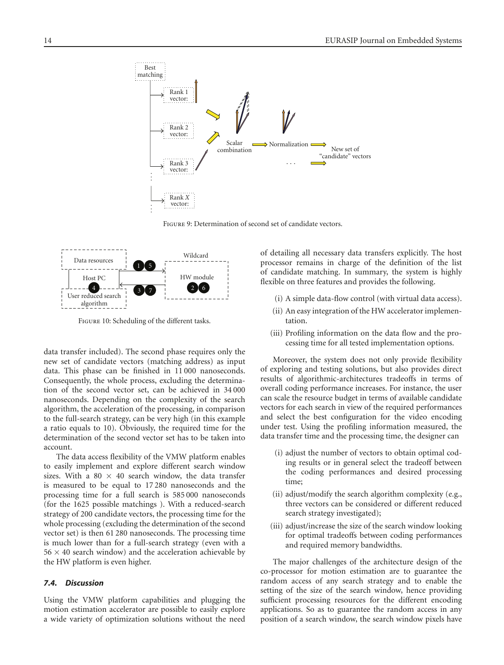

Figure 9: Determination of second set of candidate vectors.



Figure 10: Scheduling of the different tasks.

data transfer included). The second phase requires only the new set of candidate vectors (matching address) as input data. This phase can be finished in 11 000 nanoseconds. Consequently, the whole process, excluding the determination of the second vector set, can be achieved in 34 000 nanoseconds. Depending on the complexity of the search algorithm, the acceleration of the processing, in comparison to the full-search strategy, can be very high (in this example a ratio equals to 10). Obviously, the required time for the determination of the second vector set has to be taken into account.

The data access flexibility of the VMW platform enables to easily implement and explore different search window sizes. With a 80  $\times$  40 search window, the data transfer is measured to be equal to 17 280 nanoseconds and the processing time for a full search is 585 000 nanoseconds (for the 1625 possible matchings ). With a reduced-search strategy of 200 candidate vectors, the processing time for the whole processing (excluding the determination of the second vector set) is then 61 280 nanoseconds. The processing time is much lower than for a full-search strategy (even with a  $56 \times 40$  search window) and the acceleration achievable by the HW platform is even higher.

#### *7.4. Discussion*

Using the VMW platform capabilities and plugging the motion estimation accelerator are possible to easily explore a wide variety of optimization solutions without the need

of detailing all necessary data transfers explicitly. The host processor remains in charge of the definition of the list of candidate matching. In summary, the system is highly flexible on three features and provides the following.

- (i) A simple data-flow control (with virtual data access).
- (ii) An easy integration of the HW accelerator implementation.
- (iii) Profiling information on the data flow and the processing time for all tested implementation options.

Moreover, the system does not only provide flexibility of exploring and testing solutions, but also provides direct results of algorithmic-architectures tradeoffs in terms of overall coding performance increases. For instance, the user can scale the resource budget in terms of available candidate vectors for each search in view of the required performances and select the best configuration for the video encoding under test. Using the profiling information measured, the data transfer time and the processing time, the designer can

- (i) adjust the number of vectors to obtain optimal coding results or in general select the tradeoff between the coding performances and desired processing time;
- (ii) adjust/modify the search algorithm complexity (e.g., three vectors can be considered or different reduced search strategy investigated);
- (iii) adjust/increase the size of the search window looking for optimal tradeoffs between coding performances and required memory bandwidths.

The major challenges of the architecture design of the co-processor for motion estimation are to guarantee the random access of any search strategy and to enable the setting of the size of the search window, hence providing sufficient processing resources for the different encoding applications. So as to guarantee the random access in any position of a search window, the search window pixels have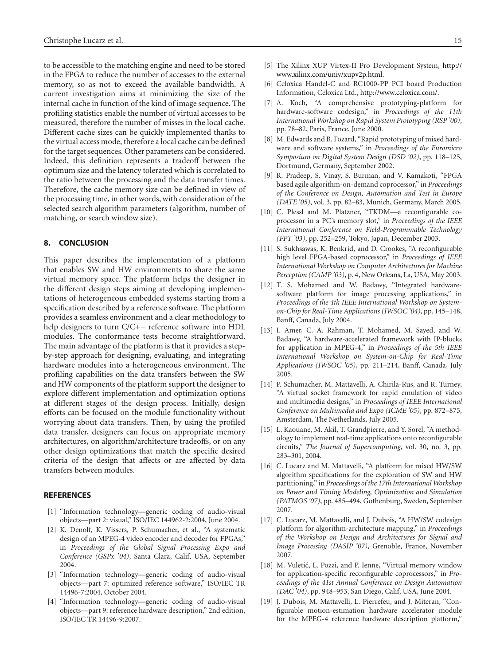to be accessible to the matching engine and need to be stored in the FPGA to reduce the number of accesses to the external memory, so as not to exceed the available bandwidth. A current investigation aims at minimizing the size of the internal cache in function of the kind of image sequence. The profiling statistics enable the number of virtual accesses to be measured, therefore the number of misses in the local cache. Different cache sizes can be quickly implemented thanks to the virtual access mode, therefore a local cache can be defined for the target sequences. Other parameters can be considered. Indeed, this definition represents a tradeoff between the optimum size and the latency tolerated which is correlated to the ratio between the processing and the data transfer times. Therefore, the cache memory size can be defined in view of the processing time, in other words, with consideration of the selected search algorithm parameters (algorithm, number of matching, or search window size).

#### **8. CONCLUSION**

This paper describes the implementation of a platform that enables SW and HW environments to share the same virtual memory space. The platform helps the designer in the different design steps aiming at developing implementations of heterogeneous embedded systems starting from a specification described by a reference software. The platform provides a seamless environment and a clear methodology to help designers to turn C/C++ reference software into HDL modules. The conformance tests become straightforward. The main advantage of the platform is that it provides a stepby-step approach for designing, evaluating, and integrating hardware modules into a heterogeneous environment. The profiling capabilities on the data transfers between the SW and HW components of the platform support the designer to explore different implementation and optimization options at different stages of the design process. Initially, design efforts can be focused on the module functionality without worrying about data transfers. Then, by using the profiled data transfer, designers can focus on appropriate memory architectures, on algorithm/architecture tradeoffs, or on any other design optimizations that match the specific desired criteria of the design that affects or are affected by data transfers between modules.

# **REFERENCES**

- [1] "Information technology—generic coding of audio-visual objects—part 2: visual," ISO/IEC 144962-2:2004, June 2004.
- [2] K. Denolf, K. Vissers, P. Schumacher, et al., "A systematic design of an MPEG-4 video encoder and decoder for FPGAs," in *Proceedings of the Global Signal Processing Expo and Conference (GSPx '04)*, Santa Clara, Calif, USA, September 2004.
- [3] "Information technology—generic coding of audio-visual objects—part 7: optimized reference software," ISO/IEC TR 14496-7:2004, October 2004.
- [4] "Information technology—generic coding of audio-visual objects—part 9: reference hardware description," 2nd edition, ISO/IEC TR 14496-9:2007.
- [5] The Xilinx XUP Virtex-II Pro Development System, http:// www.xilinx.com/univ/xupv2p.html.
- [6] Celoxica Handel-C and RC1000-PP PCI board Production Information, Celoxica Ltd., http://www.celoxica.com/.
- [7] A. Koch, "A comprehensive prototyping-platform for hardware-software codesign," in *Proceedings of the 11th International Workshop on Rapid System Prototyping (RSP '00)*, pp. 78–82, Paris, France, June 2000.
- [8] M. Edwards and B. Fozard, "Rapid prototyping of mixed hardware and software systems," in *Proceedings of the Euromicro Symposium on Digital System Design (DSD '02)*, pp. 118–125, Dortmund, Germany, September 2002.
- [9] R. Pradeep, S. Vinay, S. Burman, and V. Kamakoti, "FPGA based agile algorithm-on-demand coprocessor," in *Proceedings of the Conference on Design, Automation and Test in Europe (DATE '05)*, vol. 3, pp. 82–83, Munich, Germany, March 2005.
- [10] C. Plessl and M. Platzner, "TKDM-a reconfigurable coprocessor in a PC's memory slot," in *Proceedings of the IEEE International Conference on Field-Programmable Technology (FPT '03)*, pp. 252–259, Tokyo, Japan, December 2003.
- [11] S. Sukhsawas, K. Benkrid, and D. Crookes, "A reconfigurable high level FPGA-based coprocessor," in *Proceedings of IEEE International Workshop on Computer Architectures for Machine Perception (CAMP '03)*, p. 4, New Orleans, La, USA, May 2003.
- [12] T. S. Mohamed and W. Badawy, "Integrated hardwaresoftware platform for image processing applications," in *Proceedings of the 4th IEEE International Workshop on Systemon-Chip for Real-Time Applications (IWSOC '04)*, pp. 145–148, Banff, Canada, July 2004.
- [13] I. Amer, C. A. Rahman, T. Mohamed, M. Sayed, and W. Badawy, "A hardware-accelerated framework with IP-blocks for application in MPEG-4," in *Proceedings of the 5th IEEE International Workshop on System-on-Chip for Real-Time Applications (IWSOC '05)*, pp. 211–214, Banff, Canada, July 2005.
- [14] P. Schumacher, M. Mattavelli, A. Chirila-Rus, and R. Turney, "A virtual socket framework for rapid emulation of video and multimedia designs," in *Proceedings of IEEE International Conference on Multimedia and Expo (ICME '05)*, pp. 872–875, Amsterdam, The Netherlands, July 2005.
- [15] L. Kaouane, M. Akil, T. Grandpierre, and Y. Sorel, "A methodology to implement real-time applications onto reconfigurable circuits," *The Journal of Supercomputing*, vol. 30, no. 3, pp. 283–301, 2004.
- [16] C. Lucarz and M. Mattavelli, "A platform for mixed HW/SW algorithm specifications for the exploration of SW and HW partitioning," in *Proceedings of the 17th International Workshop on Power and Timing Modeling, Optimization and Simulation (PATMOS '07)*, pp. 485–494, Gothenburg, Sweden, September 2007.
- [17] C. Lucarz, M. Mattavelli, and J. Dubois, "A HW/SW codesign platform for algorithm-architecture mapping," in *Proceedings of the Workshop on Design and Architectures for Signal and Image Processing (DASIP '07)*, Grenoble, France, November 2007.
- [18] M. Vuletić, L. Pozzi, and P. Ienne, "Virtual memory window for application-specific reconfigurable coprocessors," in *Proceedings of the 41st Annual Conference on Design Automation (DAC '04)*, pp. 948–953, San Diego, Calif, USA, June 2004.
- [19] J. Dubois, M. Mattavelli, L. Pierrefeu, and J. Miteran, "Configurable motion-estimation hardware accelerator module for the MPEG-4 reference hardware description platform,"